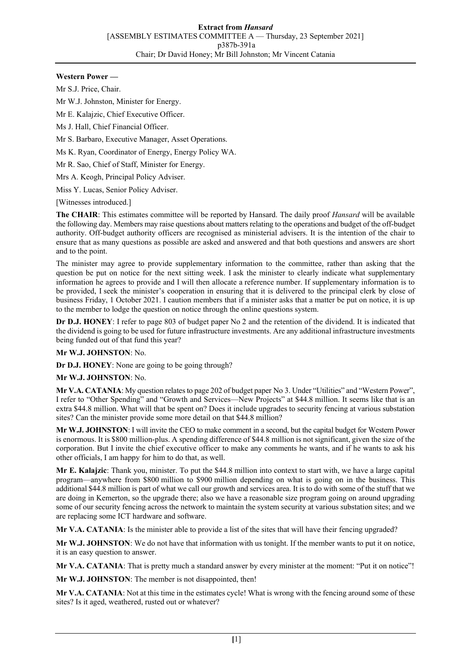### **Western Power —**

Mr S.J. Price, Chair.

Mr W.J. Johnston, Minister for Energy.

Mr E. Kalajzic, Chief Executive Officer.

Ms J. Hall, Chief Financial Officer.

Mr S. Barbaro, Executive Manager, Asset Operations.

Ms K. Ryan, Coordinator of Energy, Energy Policy WA.

Mr R. Sao, Chief of Staff, Minister for Energy.

Mrs A. Keogh, Principal Policy Adviser.

Miss Y. Lucas, Senior Policy Adviser.

[Witnesses introduced.]

**The CHAIR**: This estimates committee will be reported by Hansard. The daily proof *Hansard* will be available the following day. Members may raise questions about matters relating to the operations and budget of the off-budget authority. Off-budget authority officers are recognised as ministerial advisers. It is the intention of the chair to ensure that as many questions as possible are asked and answered and that both questions and answers are short and to the point.

The minister may agree to provide supplementary information to the committee, rather than asking that the question be put on notice for the next sitting week. I ask the minister to clearly indicate what supplementary information he agrees to provide and I will then allocate a reference number. If supplementary information is to be provided, I seek the minister's cooperation in ensuring that it is delivered to the principal clerk by close of business Friday, 1 October 2021. I caution members that if a minister asks that a matter be put on notice, it is up to the member to lodge the question on notice through the online questions system.

**Dr D.J. HONEY**: I refer to page 803 of budget paper No 2 and the retention of the dividend. It is indicated that the dividend is going to be used for future infrastructure investments. Are any additional infrastructure investments being funded out of that fund this year?

# **Mr W.J. JOHNSTON**: No.

**Dr D.J. HONEY**: None are going to be going through?

**Mr W.J. JOHNSTON**: No.

**Mr V.A. CATANIA**: My question relates to page 202 of budget paper No 3. Under "Utilities" and "Western Power", I refer to "Other Spending" and "Growth and Services—New Projects" at \$44.8 million. It seems like that is an extra \$44.8 million. What will that be spent on? Does it include upgrades to security fencing at various substation sites? Can the minister provide some more detail on that \$44.8 million?

**Mr W.J. JOHNSTON**: I will invite the CEO to make comment in a second, but the capital budget for Western Power is enormous. It is \$800 million-plus. A spending difference of \$44.8 million is not significant, given the size of the corporation. But I invite the chief executive officer to make any comments he wants, and if he wants to ask his other officials, I am happy for him to do that, as well.

**Mr E. Kalajzic**: Thank you, minister. To put the \$44.8 million into context to start with, we have a large capital program—anywhere from \$800 million to \$900 million depending on what is going on in the business. This additional \$44.8 million is part of what we call our growth and services area. It is to do with some of the stuff that we are doing in Kemerton, so the upgrade there; also we have a reasonable size program going on around upgrading some of our security fencing across the network to maintain the system security at various substation sites; and we are replacing some ICT hardware and software.

**Mr V.A. CATANIA**: Is the minister able to provide a list of the sites that will have their fencing upgraded?

**Mr W.J. JOHNSTON**: We do not have that information with us tonight. If the member wants to put it on notice, it is an easy question to answer.

**Mr V.A. CATANIA**: That is pretty much a standard answer by every minister at the moment: "Put it on notice"!

**Mr W.J. JOHNSTON**: The member is not disappointed, then!

**Mr V.A. CATANIA**: Not at this time in the estimates cycle! What is wrong with the fencing around some of these sites? Is it aged, weathered, rusted out or whatever?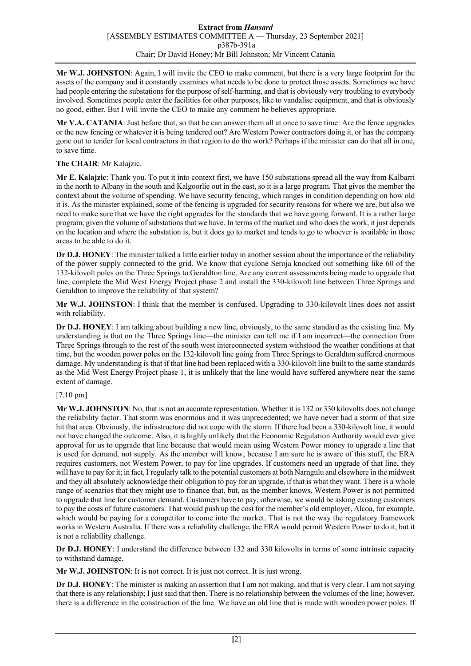**Mr W.J. JOHNSTON**: Again, I will invite the CEO to make comment, but there is a very large footprint for the assets of the company and it constantly examines what needs to be done to protect those assets. Sometimes we have had people entering the substations for the purpose of self-harming, and that is obviously very troubling to everybody involved. Sometimes people enter the facilities for other purposes, like to vandalise equipment, and that is obviously no good, either. But I will invite the CEO to make any comment he believes appropriate.

**Mr V.A. CATANIA**: Just before that, so that he can answer them all at once to save time: Are the fence upgrades or the new fencing or whatever it is being tendered out? Are Western Power contractors doing it, or has the company gone out to tender for local contractors in that region to do the work? Perhaps if the minister can do that all in one, to save time.

# **The CHAIR**: Mr Kalajzic.

**Mr E. Kalajzic**: Thank you. To put it into context first, we have 150 substations spread all the way from Kalbarri in the north to Albany in the south and Kalgoorlie out in the east, so it is a large program. That gives the member the context about the volume of spending. We have security fencing, which ranges in condition depending on how old it is. As the minister explained, some of the fencing is upgraded for security reasons for where we are, but also we need to make sure that we have the right upgrades for the standards that we have going forward. It is a rather large program, given the volume of substations that we have. In terms of the market and who does the work, it just depends on the location and where the substation is, but it does go to market and tends to go to whoever is available in those areas to be able to do it.

**Dr D.J. HONEY**: The minister talked a little earlier today in another session about the importance of the reliability of the power supply connected to the grid. We know that cyclone Seroja knocked out something like 60 of the 132-kilovolt poles on the Three Springs to Geraldton line. Are any current assessments being made to upgrade that line, complete the Mid West Energy Project phase 2 and install the 330-kilovolt line between Three Springs and Geraldton to improve the reliability of that system?

**Mr W.J. JOHNSTON**: I think that the member is confused. Upgrading to 330-kilovolt lines does not assist with reliability.

**Dr D.J. HONEY**: I am talking about building a new line, obviously, to the same standard as the existing line. My understanding is that on the Three Springs line—the minister can tell me if I am incorrect—the connection from Three Springs through to the rest of the south west interconnected system withstood the weather conditions at that time, but the wooden power poles on the 132-kilovolt line going from Three Springs to Geraldton suffered enormous damage. My understanding is that if that line had been replaced with a 330-kilovolt line built to the same standards as the Mid West Energy Project phase 1, it is unlikely that the line would have suffered anywhere near the same extent of damage.

# [7.10 pm]

**Mr W.J. JOHNSTON**: No, that is not an accurate representation. Whether it is 132 or 330 kilovolts does not change the reliability factor. That storm was enormous and it was unprecedented; we have never had a storm of that size hit that area. Obviously, the infrastructure did not cope with the storm. If there had been a 330-kilovolt line, it would not have changed the outcome. Also, it is highly unlikely that the Economic Regulation Authority would ever give approval for us to upgrade that line because that would mean using Western Power money to upgrade a line that is used for demand, not supply. As the member will know, because I am sure he is aware of this stuff, the ERA requires customers, not Western Power, to pay for line upgrades. If customers need an upgrade of that line, they will have to pay for it; in fact, I regularly talk to the potential customers at both Narngulu and elsewhere in the midwest and they all absolutely acknowledge their obligation to pay for an upgrade, if that is what they want. There is a whole range of scenarios that they might use to finance that, but, as the member knows, Western Power is not permitted to upgrade that line for customer demand. Customers have to pay; otherwise, we would be asking existing customers to pay the costs of future customers. That would push up the cost for the member's old employer, Alcoa, for example, which would be paying for a competitor to come into the market. That is not the way the regulatory framework works in Western Australia. If there was a reliability challenge, the ERA would permit Western Power to do it, but it is not a reliability challenge.

**Dr D.J. HONEY**: I understand the difference between 132 and 330 kilovolts in terms of some intrinsic capacity to withstand damage.

**Mr W.J. JOHNSTON**: It is not correct. It is just not correct. It is just wrong.

**Dr D.J. HONEY**: The minister is making an assertion that I am not making, and that is very clear. I am not saying that there is any relationship; I just said that then. There is no relationship between the volumes of the line; however, there is a difference in the construction of the line. We have an old line that is made with wooden power poles. If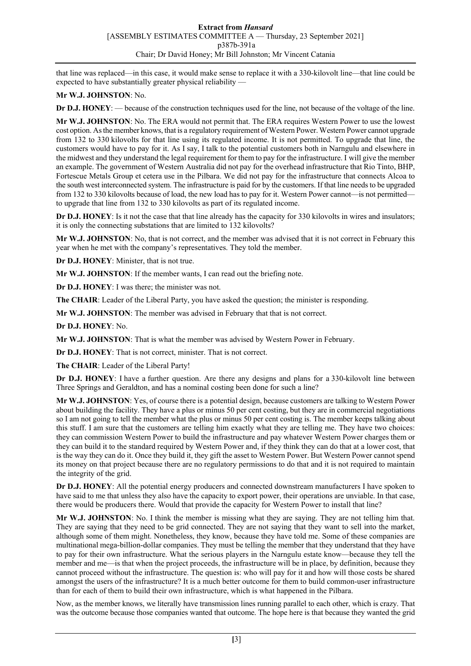that line was replaced—in this case, it would make sense to replace it with a 330-kilovolt line—that line could be expected to have substantially greater physical reliability —

### **Mr W.J. JOHNSTON**: No.

**Dr D.J. HONEY**: — because of the construction techniques used for the line, not because of the voltage of the line.

**Mr W.J. JOHNSTON**: No. The ERA would not permit that. The ERA requires Western Power to use the lowest cost option. As the member knows, that is a regulatory requirement of Western Power. Western Power cannot upgrade from 132 to 330 kilovolts for that line using its regulated income. It is not permitted. To upgrade that line, the customers would have to pay for it. As I say, I talk to the potential customers both in Narngulu and elsewhere in the midwest and they understand the legal requirement for them to pay for the infrastructure. I will give the member an example. The government of Western Australia did not pay for the overhead infrastructure that Rio Tinto, BHP, Fortescue Metals Group et cetera use in the Pilbara. We did not pay for the infrastructure that connects Alcoa to the south west interconnected system. The infrastructure is paid for by the customers. If that line needs to be upgraded from 132 to 330 kilovolts because of load, the new load has to pay for it. Western Power cannot—is not permittedto upgrade that line from 132 to 330 kilovolts as part of its regulated income.

**Dr D.J. HONEY**: Is it not the case that that line already has the capacity for 330 kilovolts in wires and insulators; it is only the connecting substations that are limited to 132 kilovolts?

**Mr W.J. JOHNSTON**: No, that is not correct, and the member was advised that it is not correct in February this year when he met with the company's representatives. They told the member.

**Dr D.J. HONEY**: Minister, that is not true.

**Mr W.J. JOHNSTON**: If the member wants, I can read out the briefing note.

**Dr D.J. HONEY**: I was there; the minister was not.

**The CHAIR**: Leader of the Liberal Party, you have asked the question; the minister is responding.

**Mr W.J. JOHNSTON**: The member was advised in February that that is not correct.

**Dr D.J. HONEY**: No.

**Mr W.J. JOHNSTON**: That is what the member was advised by Western Power in February.

**Dr D.J. HONEY**: That is not correct, minister. That is not correct.

**The CHAIR**: Leader of the Liberal Party!

**Dr D.J. HONEY**: I have a further question. Are there any designs and plans for a 330-kilovolt line between Three Springs and Geraldton, and has a nominal costing been done for such a line?

**Mr W.J. JOHNSTON**: Yes, of course there is a potential design, because customers are talking to Western Power about building the facility. They have a plus or minus 50 per cent costing, but they are in commercial negotiations so I am not going to tell the member what the plus or minus 50 per cent costing is. The member keeps talking about this stuff. I am sure that the customers are telling him exactly what they are telling me. They have two choices: they can commission Western Power to build the infrastructure and pay whatever Western Power charges them or they can build it to the standard required by Western Power and, if they think they can do that at a lower cost, that is the way they can do it. Once they build it, they gift the asset to Western Power. But Western Power cannot spend its money on that project because there are no regulatory permissions to do that and it is not required to maintain the integrity of the grid.

**Dr D.J. HONEY**: All the potential energy producers and connected downstream manufacturers I have spoken to have said to me that unless they also have the capacity to export power, their operations are unviable. In that case, there would be producers there. Would that provide the capacity for Western Power to install that line?

**Mr W.J. JOHNSTON**: No. I think the member is missing what they are saying. They are not telling him that. They are saying that they need to be grid connected. They are not saying that they want to sell into the market, although some of them might. Nonetheless, they know, because they have told me. Some of these companies are multinational mega-billion-dollar companies. They must be telling the member that they understand that they have to pay for their own infrastructure. What the serious players in the Narngulu estate know—because they tell the member and me—is that when the project proceeds, the infrastructure will be in place, by definition, because they cannot proceed without the infrastructure. The question is: who will pay for it and how will those costs be shared amongst the users of the infrastructure? It is a much better outcome for them to build common-user infrastructure than for each of them to build their own infrastructure, which is what happened in the Pilbara.

Now, as the member knows, we literally have transmission lines running parallel to each other, which is crazy. That was the outcome because those companies wanted that outcome. The hope here is that because they wanted the grid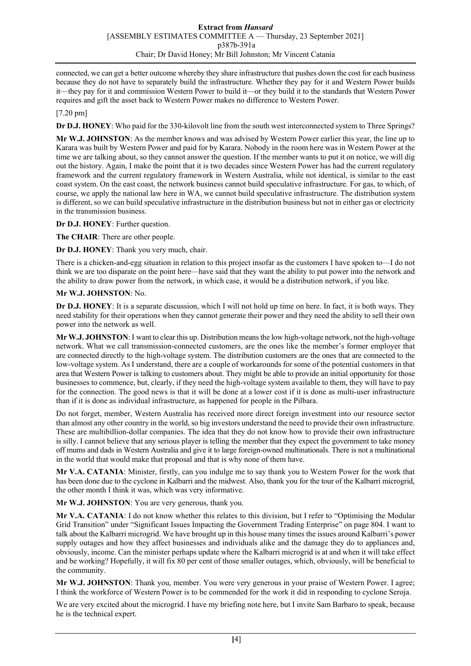connected, we can get a better outcome whereby they share infrastructure that pushes down the cost for each business because they do not have to separately build the infrastructure. Whether they pay for it and Western Power builds it—they pay for it and commission Western Power to build it—or they build it to the standards that Western Power requires and gift the asset back to Western Power makes no difference to Western Power.

#### [7.20 pm]

**Dr D.J. HONEY**: Who paid for the 330-kilovolt line from the south west interconnected system to Three Springs?

**Mr W.J. JOHNSTON**: As the member knows and was advised by Western Power earlier this year, the line up to Karara was built by Western Power and paid for by Karara. Nobody in the room here was in Western Power at the time we are talking about, so they cannot answer the question. If the member wants to put it on notice, we will dig out the history. Again, I make the point that it is two decades since Western Power has had the current regulatory framework and the current regulatory framework in Western Australia, while not identical, is similar to the east coast system. On the east coast, the network business cannot build speculative infrastructure. For gas, to which, of course, we apply the national law here in WA, we cannot build speculative infrastructure. The distribution system is different, so we can build speculative infrastructure in the distribution business but not in either gas or electricity in the transmission business.

**Dr D.J. HONEY**: Further question.

**The CHAIR**: There are other people.

**Dr D.J. HONEY**: Thank you very much, chair.

There is a chicken-and-egg situation in relation to this project insofar as the customers I have spoken to—I do not think we are too disparate on the point here—have said that they want the ability to put power into the network and the ability to draw power from the network, in which case, it would be a distribution network, if you like.

#### **Mr W.J. JOHNSTON**: No.

**Dr D.J. HONEY**: It is a separate discussion, which I will not hold up time on here. In fact, it is both ways. They need stability for their operations when they cannot generate their power and they need the ability to sell their own power into the network as well.

**Mr W.J. JOHNSTON**: I want to clear this up. Distribution means the low high-voltage network, not the high-voltage network. What we call transmission-connected customers, are the ones like the member's former employer that are connected directly to the high-voltage system. The distribution customers are the ones that are connected to the low-voltage system. As I understand, there are a couple of workarounds for some of the potential customers in that area that Western Power is talking to customers about. They might be able to provide an initial opportunity for those businesses to commence, but, clearly, if they need the high-voltage system available to them, they will have to pay for the connection. The good news is that it will be done at a lower cost if it is done as multi-user infrastructure than if it is done as individual infrastructure, as happened for people in the Pilbara.

Do not forget, member, Western Australia has received more direct foreign investment into our resource sector than almost any other country in the world, so big investors understand the need to provide their own infrastructure. These are multibillion-dollar companies. The idea that they do not know how to provide their own infrastructure is silly. I cannot believe that any serious player is telling the member that they expect the government to take money off mums and dads in Western Australia and give it to large foreign-owned multinationals. There is not a multinational in the world that would make that proposal and that is why none of them have.

**Mr V.A. CATANIA**: Minister, firstly, can you indulge me to say thank you to Western Power for the work that has been done due to the cyclone in Kalbarri and the midwest. Also, thank you for the tour of the Kalbarri microgrid, the other month I think it was, which was very informative.

**Mr W.J. JOHNSTON**: You are very generous, thank you.

**Mr V.A. CATANIA**: I do not know whether this relates to this division, but I refer to "Optimising the Modular Grid Transition" under "Significant Issues Impacting the Government Trading Enterprise" on page 804. I want to talk about the Kalbarri microgrid. We have brought up in this house many times the issues around Kalbarri's power supply outages and how they affect businesses and individuals alike and the damage they do to appliances and, obviously, income. Can the minister perhaps update where the Kalbarri microgrid is at and when it will take effect and be working? Hopefully, it will fix 80 per cent of those smaller outages, which, obviously, will be beneficial to the community.

**Mr W.J. JOHNSTON**: Thank you, member. You were very generous in your praise of Western Power. I agree; I think the workforce of Western Power is to be commended for the work it did in responding to cyclone Seroja.

We are very excited about the microgrid. I have my briefing note here, but I invite Sam Barbaro to speak, because he is the technical expert.